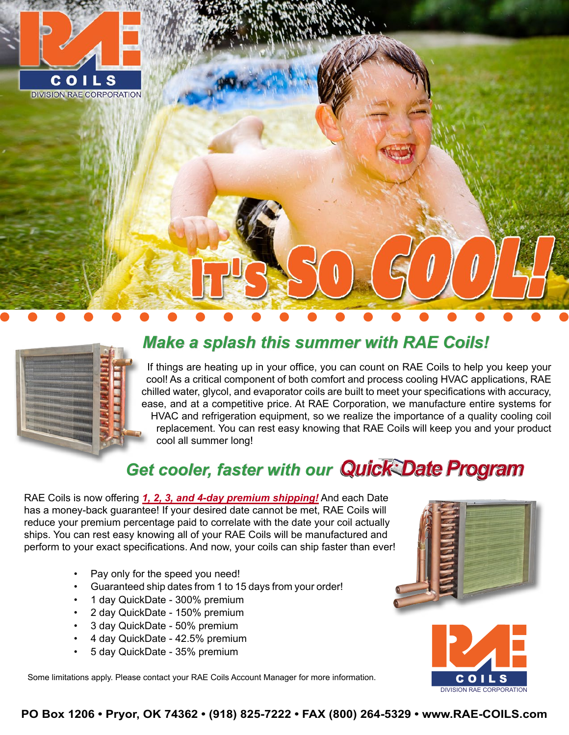

**DIVISION RAE CORPORATION** 

# **The Property**

#### *Make a splash this summer with RAE Coils!*

If things are heating up in your office, you can count on RAE Coils to help you keep your cool! As a critical component of both comfort and process cooling HVAC applications, RAE chilled water, glycol, and evaporator coils are built to meet your specifications with accuracy, ease, and at a competitive price. At RAE Corporation, we manufacture entire systems for HVAC and refrigeration equipment, so we realize the importance of a quality cooling coil replacement. You can rest easy knowing that RAE Coils will keep you and your product cool all summer long!

### **Get cooler, faster with our Quick Date Program**

RAE Coils is now offering *1, 2, 3, and 4-day premium shipping!* And each Date has a money-back guarantee! If your desired date cannot be met, RAE Coils will reduce your premium percentage paid to correlate with the date your coil actually ships. You can rest easy knowing all of your RAE Coils will be manufactured and perform to your exact specifications. And now, your coils can ship faster than ever!

- Pay only for the speed you need!
- Guaranteed ship dates from 1 to 15 days from your order!
- 1 day QuickDate 300% premium
- 2 day QuickDate 150% premium
- 3 day QuickDate 50% premium
- 4 day QuickDate 42.5% premium
- 5 day QuickDate 35% premium

Some limitations apply. Please contact your RAE Coils Account Manager for more information.